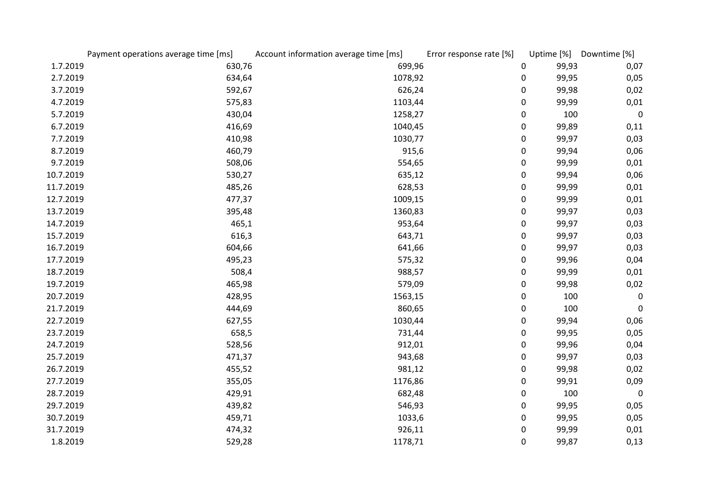|           | Payment operations average time [ms] | Account information average time [ms] | Error response rate [%] | Uptime [%] | Downtime [%] |
|-----------|--------------------------------------|---------------------------------------|-------------------------|------------|--------------|
| 1.7.2019  | 630,76                               | 699,96                                | 0                       | 99,93      | 0,07         |
| 2.7.2019  | 634,64                               | 1078,92                               | $\mathbf 0$             | 99,95      | 0,05         |
| 3.7.2019  | 592,67                               | 626,24                                | $\boldsymbol{0}$        | 99,98      | 0,02         |
| 4.7.2019  | 575,83                               | 1103,44                               | $\mathbf 0$             | 99,99      | 0,01         |
| 5.7.2019  | 430,04                               | 1258,27                               | $\mathbf 0$             | 100        | $\mathbf 0$  |
| 6.7.2019  | 416,69                               | 1040,45                               | 0                       | 99,89      | 0,11         |
| 7.7.2019  | 410,98                               | 1030,77                               | $\boldsymbol{0}$        | 99,97      | 0,03         |
| 8.7.2019  | 460,79                               | 915,6                                 | 0                       | 99,94      | 0,06         |
| 9.7.2019  | 508,06                               | 554,65                                | $\mathbf 0$             | 99,99      | 0,01         |
| 10.7.2019 | 530,27                               | 635,12                                | 0                       | 99,94      | 0,06         |
| 11.7.2019 | 485,26                               | 628,53                                | 0                       | 99,99      | 0,01         |
| 12.7.2019 | 477,37                               | 1009,15                               | $\mathbf 0$             | 99,99      | 0,01         |
| 13.7.2019 | 395,48                               | 1360,83                               | $\boldsymbol{0}$        | 99,97      | 0,03         |
| 14.7.2019 | 465,1                                | 953,64                                | $\boldsymbol{0}$        | 99,97      | 0,03         |
| 15.7.2019 | 616,3                                | 643,71                                | $\boldsymbol{0}$        | 99,97      | 0,03         |
| 16.7.2019 | 604,66                               | 641,66                                | $\mathbf 0$             | 99,97      | 0,03         |
| 17.7.2019 | 495,23                               | 575,32                                | 0                       | 99,96      | 0,04         |
| 18.7.2019 | 508,4                                | 988,57                                | $\mathbf 0$             | 99,99      | 0,01         |
| 19.7.2019 | 465,98                               | 579,09                                | $\mathbf 0$             | 99,98      | 0,02         |
| 20.7.2019 | 428,95                               | 1563,15                               | $\mathbf 0$             | 100        | $\pmb{0}$    |
| 21.7.2019 | 444,69                               | 860,65                                | $\mathbf 0$             | 100        | 0            |
| 22.7.2019 | 627,55                               | 1030,44                               | $\boldsymbol{0}$        | 99,94      | 0,06         |
| 23.7.2019 | 658,5                                | 731,44                                | 0                       | 99,95      | 0,05         |
| 24.7.2019 | 528,56                               | 912,01                                | 0                       | 99,96      | 0,04         |
| 25.7.2019 | 471,37                               | 943,68                                | $\mathbf 0$             | 99,97      | 0,03         |
| 26.7.2019 | 455,52                               | 981,12                                | $\boldsymbol{0}$        | 99,98      | 0,02         |
| 27.7.2019 | 355,05                               | 1176,86                               | $\boldsymbol{0}$        | 99,91      | 0,09         |
| 28.7.2019 | 429,91                               | 682,48                                | $\mathbf 0$             | 100        | 0            |
| 29.7.2019 | 439,82                               | 546,93                                | $\mathbf 0$             | 99,95      | 0,05         |
| 30.7.2019 | 459,71                               | 1033,6                                | 0                       | 99,95      | 0,05         |
| 31.7.2019 | 474,32                               | 926,11                                | $\mathbf 0$             | 99,99      | 0,01         |
| 1.8.2019  | 529,28                               | 1178,71                               | $\mathbf 0$             | 99,87      | 0,13         |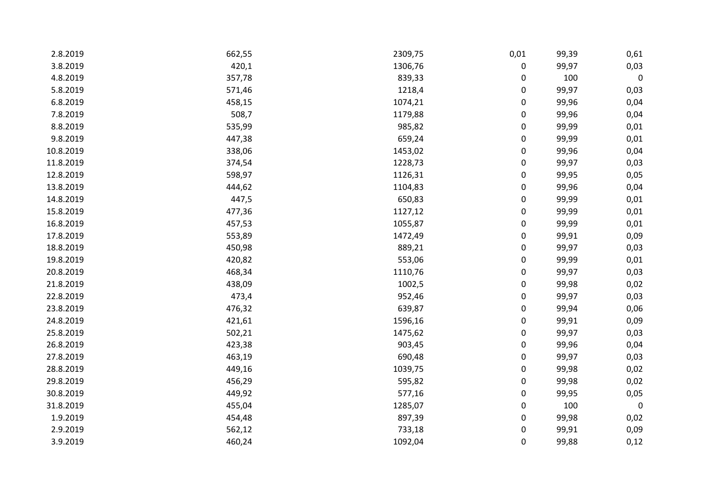| 2.8.2019  | 662,55 | 2309,75 | 0,01             | 99,39 | 0,61             |
|-----------|--------|---------|------------------|-------|------------------|
| 3.8.2019  | 420,1  | 1306,76 | $\boldsymbol{0}$ | 99,97 | 0,03             |
| 4.8.2019  | 357,78 | 839,33  | $\pmb{0}$        | 100   | $\pmb{0}$        |
| 5.8.2019  | 571,46 | 1218,4  | 0                | 99,97 | 0,03             |
| 6.8.2019  | 458,15 | 1074,21 | $\pmb{0}$        | 99,96 | 0,04             |
| 7.8.2019  | 508,7  | 1179,88 | $\boldsymbol{0}$ | 99,96 | 0,04             |
| 8.8.2019  | 535,99 | 985,82  | $\boldsymbol{0}$ | 99,99 | 0,01             |
| 9.8.2019  | 447,38 | 659,24  | $\boldsymbol{0}$ | 99,99 | 0,01             |
| 10.8.2019 | 338,06 | 1453,02 | $\pmb{0}$        | 99,96 | 0,04             |
| 11.8.2019 | 374,54 | 1228,73 | $\boldsymbol{0}$ | 99,97 | 0,03             |
| 12.8.2019 | 598,97 | 1126,31 | $\boldsymbol{0}$ | 99,95 | 0,05             |
| 13.8.2019 | 444,62 | 1104,83 | $\boldsymbol{0}$ | 99,96 | 0,04             |
| 14.8.2019 | 447,5  | 650,83  | $\boldsymbol{0}$ | 99,99 | 0,01             |
| 15.8.2019 | 477,36 | 1127,12 | $\boldsymbol{0}$ | 99,99 | 0,01             |
| 16.8.2019 | 457,53 | 1055,87 | $\boldsymbol{0}$ | 99,99 | 0,01             |
| 17.8.2019 | 553,89 | 1472,49 | $\pmb{0}$        | 99,91 | 0,09             |
| 18.8.2019 | 450,98 | 889,21  | $\boldsymbol{0}$ | 99,97 | 0,03             |
| 19.8.2019 | 420,82 | 553,06  | $\boldsymbol{0}$ | 99,99 | 0,01             |
| 20.8.2019 | 468,34 | 1110,76 | $\pmb{0}$        | 99,97 | 0,03             |
| 21.8.2019 | 438,09 | 1002,5  | $\boldsymbol{0}$ | 99,98 | 0,02             |
| 22.8.2019 | 473,4  | 952,46  | $\boldsymbol{0}$ | 99,97 | 0,03             |
| 23.8.2019 | 476,32 | 639,87  | $\pmb{0}$        | 99,94 | 0,06             |
| 24.8.2019 | 421,61 | 1596,16 | 0                | 99,91 | 0,09             |
| 25.8.2019 | 502,21 | 1475,62 | $\boldsymbol{0}$ | 99,97 | 0,03             |
| 26.8.2019 | 423,38 | 903,45  | $\mathbf 0$      | 99,96 | 0,04             |
| 27.8.2019 | 463,19 | 690,48  | $\boldsymbol{0}$ | 99,97 | 0,03             |
| 28.8.2019 | 449,16 | 1039,75 | $\boldsymbol{0}$ | 99,98 | 0,02             |
| 29.8.2019 | 456,29 | 595,82  | $\boldsymbol{0}$ | 99,98 | 0,02             |
| 30.8.2019 | 449,92 | 577,16  | $\boldsymbol{0}$ | 99,95 | 0,05             |
| 31.8.2019 | 455,04 | 1285,07 | $\boldsymbol{0}$ | 100   | $\boldsymbol{0}$ |
| 1.9.2019  | 454,48 | 897,39  | $\boldsymbol{0}$ | 99,98 | 0,02             |
| 2.9.2019  | 562,12 | 733,18  | $\boldsymbol{0}$ | 99,91 | 0,09             |
| 3.9.2019  | 460,24 | 1092,04 | $\mathbf 0$      | 99,88 | 0,12             |